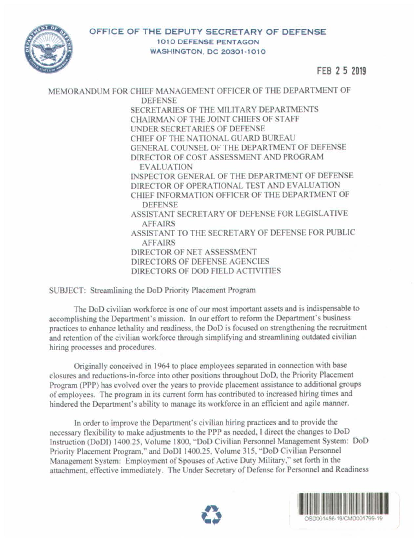

FEB 2 5 2019

MEMORANDUM FOR CHIEF MANAGEMENT OFFICER OF THE DEPARTMENT OF **DEFENSE** SECRETARIES OF THE MILITARY DEPARTMENTS CHAIRMAN OF THE JOINT CHIEFS OF STAFF UNDER SECRETARIES OF DEFENSE CHIEF OF THE NATIONAL GUARD BUREAU GENERAL COUNSEL OF THE DEPARTMENT OF DEFENSE DIRECTOR OF COST ASSESSMENT AND PROGRAM **EVALUATION** INSPECTOR GENERAL OF THE DEPARTMENT OF DEFENSE DIRECTOR OF OPERATIONAL TEST AND EVALUATION CHIEF INFORMATION OFFICER OF THE DEPARTMENT OF **DEFENSE** ASSISTANT SECRETARY OF DEFENSE FOR LEGISLATIVE **AFFAIRS** ASSISTANT TO THE SECRETARY OF DEFENSE FOR PUBLIC **AFFAIRS** DIRECTOR OF NET ASSESSMENT DIRECTORS OF DEFENSE AGENCIES DIRECTORS OF DOD FIELD ACTIVITIES

SUBJECT: Streamlining the DoD Priority Placement Program

The DoD civilian workforce is one of our most important assets and is indispensable to accomplishing the Department's mission. In our effon to refonn the Department's business practices to enhance lethality and readiness. the DoD is focused on strengthening the recruitment and retention of the civilian workforce through simplifying and streamlining outdated civilian hiring processes and procedures.

Originally conceived in 1964 to place employees separated in connection with base closures and reductions-in-force into other positions throughout DoD. the Priority Placement Program (PPP) has evolved over the years to provide placement assistance to additional groups of employees. The program in its current form has contributed to increased hiring times and hindered the Department's ability to manage its workforce in an efficient and agile manner.

In order to improve the Department's civilian hiring practices and to provide the necessary flexibility to make adjustments to the PPP as needed. I direct the changes to DoD Instruction (DoDI) 1400.25, Volume 1800, "DoD Civilian Personnel Management System: DoD Priority Placement Program," and DoDI 1400.25, Volume 315, "DoD Civilian Personnel Management System: Employment of Spouses of Active Duty Military," set forth in the attachment, effective immediately. The Under Secretary of Defense for Personnel and Readiness



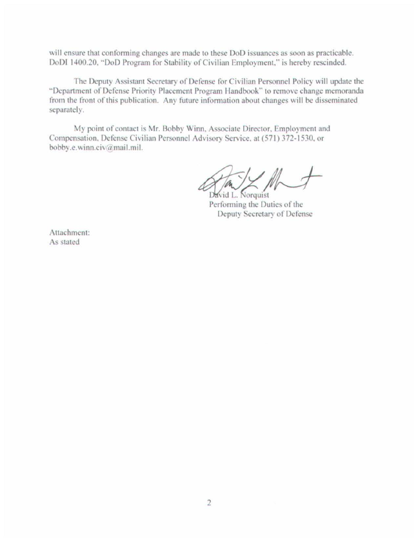will ensure that conforming changes are made to these DoD issuances as soon as practicable. DoDI 1400.20, "DoD Program for Stability of Civilian Employment," is hereby rescinded.

The Deputy Assistant Secretary of Defense for Civilian Personnel Policy will update the "Department of Defense Priority Placement Program Handbook" to remove change memoranda from the front of this publication. Any future information about changes will be disseminated separately.

My point of contact is Mr. Bobby Winn, Associate Director, Employment and Compensation, Defense Civilian Personnel Advisory Service, at (571) 372-1530, or bobby.e.winn.civ@mail.mil.

David L. Norquist

Performing the Duties of the Deputy Secretary of Defense

Attachment: As stated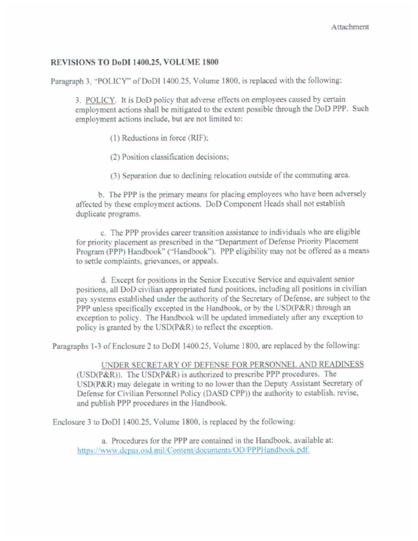## REVISIONS TO DoDI 1400.25, VOLUME 1800

Paragraph 3. "POLICY' of DoDl 1400.25. Volume 1800. is replaced with the following:

3. POLICY. It is DoD policy that adverse effects on employees caused by certain employment actions shall be mitigated to the extent possible through the DoD PPP. Such employment actions include. but are not limited to:

(l} Reductions in force (RIF);

(2) Position classification decisions:

(3) Separation due to declining relocation outside of the commuting area.

b. The PPP is the primary means for placing employees who have been adversely affected by these employment actions. DoD Component Heads shall not establish duplicate programs.

c. The PPP provides career transition assistance to individuals who are eligible for priority placement as prescribed in the "Department of Defense Priority Placement Program (PPP) Handbook" ("Handbook"). PPP eligibility may not be offered as a means to settle complaints, grievances, or appeals.

d. Except for positions in the Senior Executive Service and equivalent senior positions, all DoD civilian appropriated fund positions, including all positions in civilian pay systems established under the authority of the Secretary of Defense, are subject to the PPP unless specifically excepted in the Handbook, or by the USD(P&R) through an exception to policy. The Handbook will be updated immediately after any exception to policy is granted by the  $\text{USD}(P\&R)$  to reflect the exception.

Paragraphs 1-3 of Enclosure 2 to DoDI 1400.25, Volume 1800, are replaced by the following:

UNDER SECRETARY OF DEFENSE FOR PERSONNEL AND READINESS  $(USD(P&R))$ . The USD(P&R) is authorized to prescribe PPP procedures. The  $USD(P\&R)$  may delegate in writing to no lower than the Deputy Assistant Secretary of Defense for Civilian Personnel Policy (DASD CPP)) the authority to establish. revise. and publish PPP procedures in the Handbook.

Enclosure 3 to DoDI 1400.25. Volume 1800, is replaced by the following:

a. Procedures for the PPP are contained in the Handbook, available at: https://www.depas.osd.mil/Content/documents/OD/PPPHandbook.pdf.